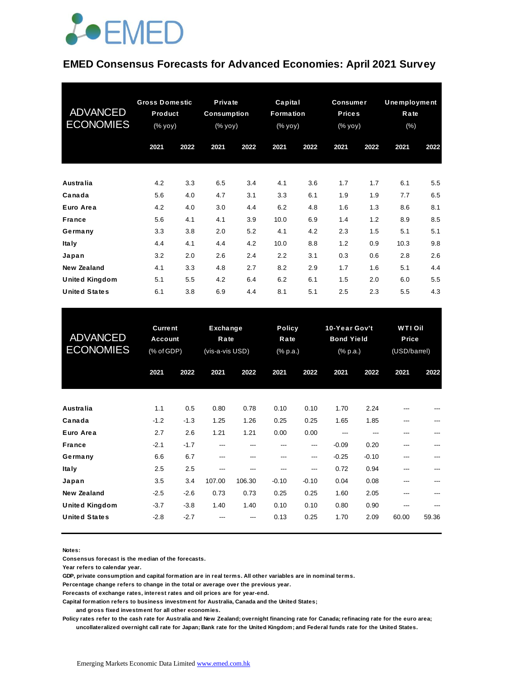## **JOEMED**

#### **EMED Consensus Forecasts for Advanced Economies: April 2021 Survey**

| <b>ADVANCED</b><br><b>ECONOMIES</b> | <b>Gross Domestic</b><br>Product<br>$(% \mathbf{y}\right)$ (% $\overline{\mathbf{y}}$ $\overline{\mathbf{y}}$ $\overline{\mathbf{y}}$ ) |      |      | Private<br>Capital<br><b>Consumption</b><br><b>Formation</b><br>$(% \mathbf{y}\right)$ (% $\overline{y}$ yoy)<br>(% yoy) |      |      | <b>Consumer</b><br><b>Prices</b><br>(% yoy) |      | <b>Unemployment</b><br>Rate<br>(% ) |      |
|-------------------------------------|-----------------------------------------------------------------------------------------------------------------------------------------|------|------|--------------------------------------------------------------------------------------------------------------------------|------|------|---------------------------------------------|------|-------------------------------------|------|
|                                     | 2021                                                                                                                                    | 2022 | 2021 | 2022                                                                                                                     | 2021 | 2022 | 2021                                        | 2022 | 2021                                | 2022 |
|                                     |                                                                                                                                         |      |      |                                                                                                                          |      |      |                                             |      |                                     |      |
| Australia                           | 4.2                                                                                                                                     | 3.3  | 6.5  | 3.4                                                                                                                      | 4.1  | 3.6  | 1.7                                         | 1.7  | 6.1                                 | 5.5  |
| Canada                              | 5.6                                                                                                                                     | 4.0  | 4.7  | 3.1                                                                                                                      | 3.3  | 6.1  | 1.9                                         | 1.9  | 7.7                                 | 6.5  |
| Euro Area                           | 4.2                                                                                                                                     | 4.0  | 3.0  | 4.4                                                                                                                      | 6.2  | 4.8  | 1.6                                         | 1.3  | 8.6                                 | 8.1  |
| <b>France</b>                       | 5.6                                                                                                                                     | 4.1  | 4.1  | 3.9                                                                                                                      | 10.0 | 6.9  | 1.4                                         | 1.2  | 8.9                                 | 8.5  |
| Germany                             | 3.3                                                                                                                                     | 3.8  | 2.0  | 5.2                                                                                                                      | 4.1  | 4.2  | 2.3                                         | 1.5  | 5.1                                 | 5.1  |
| <b>Italy</b>                        | 4.4                                                                                                                                     | 4.1  | 4.4  | 4.2                                                                                                                      | 10.0 | 8.8  | 1.2                                         | 0.9  | 10.3                                | 9.8  |
| Japan                               | 3.2                                                                                                                                     | 2.0  | 2.6  | 2.4                                                                                                                      | 2.2  | 3.1  | 0.3                                         | 0.6  | 2.8                                 | 2.6  |
| New Zealand                         | 4.1                                                                                                                                     | 3.3  | 4.8  | 2.7                                                                                                                      | 8.2  | 2.9  | 1.7                                         | 1.6  | 5.1                                 | 4.4  |
| <b>United Kingdom</b>               | 5.1                                                                                                                                     | 5.5  | 4.2  | 6.4                                                                                                                      | 6.2  | 6.1  | 1.5                                         | 2.0  | 6.0                                 | 5.5  |
| <b>United States</b>                | 6.1                                                                                                                                     | 3.8  | 6.9  | 4.4                                                                                                                      | 8.1  | 5.1  | 2.5                                         | 2.3  | 5.5                                 | 4.3  |

| <b>United States</b>                | 6.1                                     | 3.8           | 6.9                                 | 4.4         | 8.1                        | 5.1         | 2.5                                            | 2.3             | 5.5                                     | 4.3   |
|-------------------------------------|-----------------------------------------|---------------|-------------------------------------|-------------|----------------------------|-------------|------------------------------------------------|-----------------|-----------------------------------------|-------|
| <b>ADVANCED</b><br><b>ECONOMIES</b> | <b>Current</b><br>Account<br>(% of GDP) |               | Exchange<br>Rate<br>(vis-a-vis USD) |             | Policy<br>Rate<br>(% p.a.) |             | 10-Year Gov't<br><b>Bond Yield</b><br>(% p.a.) |                 | <b>WTI Oil</b><br>Price<br>(USD/barrel) |       |
|                                     | 2021                                    | 2022          | 2021                                | 2022        | 2021                       | 2022        | 2021                                           | 2022            | 2021                                    | 2022  |
| Australia                           | 1.1                                     | 0.5           | 0.80                                | 0.78        | 0.10                       | 0.10        | 1.70                                           | 2.24            | ---                                     |       |
| Canada<br>Euro Area                 | $-1.2$<br>2.7                           | $-1.3$        | 1.25                                | 1.26        | 0.25                       | 0.25        | 1.65                                           | 1.85            | ---                                     | ---   |
| <b>France</b>                       | $-2.1$                                  | 2.6<br>$-1.7$ | 1.21<br>---                         | 1.21<br>--- | 0.00<br>---                | 0.00<br>--- | $-0.09$                                        | 0.20            | ---<br>---                              |       |
| Germany<br><b>Italy</b>             | 6.6<br>2.5                              | 6.7<br>2.5    | ---<br>---                          | ---         | ---<br>---                 | ---<br>---  | $-0.25$<br>0.72                                | $-0.10$<br>0.94 | ---<br>---                              |       |
| Japan                               | 3.5                                     | 3.4           | 107.00                              | 106.30      | $-0.10$                    | $-0.10$     | 0.04                                           | 0.08            | ---                                     | ---   |
| <b>New Zealand</b>                  | $-2.5$                                  | $-2.6$        | 0.73                                | 0.73        | 0.25                       | 0.25        | 1.60                                           | 2.05            |                                         |       |
| <b>United Kingdom</b>               | $-3.7$                                  | $-3.8$        | 1.40                                | 1.40        | 0.10                       | 0.10        | 0.80                                           | 0.90            |                                         |       |
| <b>United States</b>                | $-2.8$                                  | $-2.7$        |                                     |             | 0.13                       | 0.25        | 1.70                                           | 2.09            | 60.00                                   | 59.36 |

**Notes:** 

**Consensus forecast is the median of the forecasts.**

**Year refers to calendar year.**

**GDP, private consumption and capital formation are in real terms. All other variables are in nominal terms.**

**Percentage change refers to change in the total or average over the previous year.**

**Forecasts of exchange rates, interest rates and oil prices are for year-end.**

**Capital formation refers to business investment for Australia, Canada and the United States;**

 **and gross fixed investment for all other economies.**

**Policy rates refer to the cash rate for Australia and New Zealand; overnight financing rate for Canada; refinacing rate for the euro area; uncollateralized overnight call rate for Japan; Bank rate for the United Kingdom; and Federal funds rate for the United States.**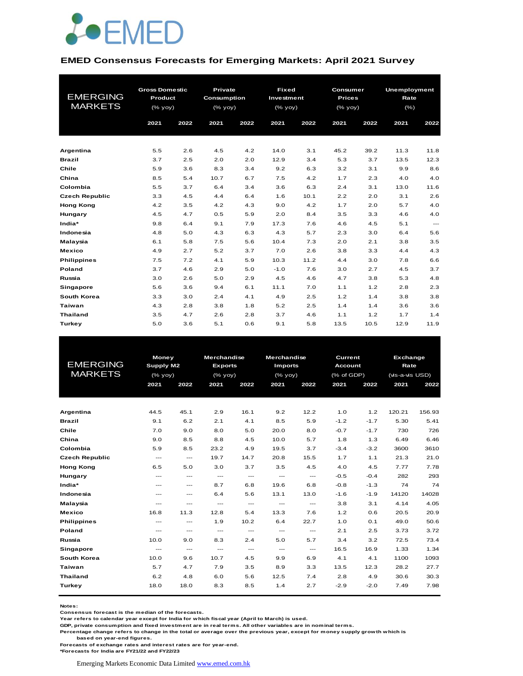

#### **EMED Consensus Forecasts for Emerging Markets: April 2021 Survey**

|                       | <b>Gross Domestic</b> |      | Private     |      | <b>Fixed</b> |      | Consumer      |      | <b>Unemployment</b> |          |  |
|-----------------------|-----------------------|------|-------------|------|--------------|------|---------------|------|---------------------|----------|--|
| <b>EMERGING</b>       | Product               |      | Consumption |      | Investment   |      | <b>Prices</b> |      | Rate                |          |  |
| <b>MARKETS</b>        | (% yoy)               |      | (% yoy)     |      | $(%$ (% yoy) |      | (% yoy)       |      | $(\% )$             |          |  |
|                       | 2021                  | 2022 | 2021        | 2022 | 2021         | 2022 | 2021          | 2022 | 2021                | 2022     |  |
|                       |                       |      |             |      |              |      |               |      |                     |          |  |
|                       |                       |      |             |      |              |      |               |      |                     |          |  |
| Argentina             | 5.5                   | 2.6  | 4.5         | 4.2  | 14.0         | 3.1  | 45.2          | 39.2 | 11.3                | 11.8     |  |
| <b>Brazil</b>         | 3.7                   | 2.5  | 2.0         | 2.0  | 12.9         | 3.4  | 5.3           | 3.7  | 13.5                | 12.3     |  |
| Chile                 | 5.9                   | 3.6  | 8.3         | 3.4  | 9.2          | 6.3  | 3.2           | 3.1  | 9.9                 | 8.6      |  |
| China                 | 8.5                   | 5.4  | 10.7        | 6.7  | 7.5          | 4.2  | 1.7           | 2.3  | 4.0                 | 4.0      |  |
| Colombia              | 5.5                   | 3.7  | 6.4         | 3.4  | 3.6          | 6.3  | 2.4           | 3.1  | 13.0                | 11.6     |  |
| <b>Czech Republic</b> | 3.3                   | 4.5  | 4.4         | 6.4  | 1.6          | 10.1 | 2.2           | 2.0  | 3.1                 | 2.6      |  |
| <b>Hong Kong</b>      | 4.2                   | 3.5  | 4.2         | 4.3  | 9.0          | 4.2  | 1.7           | 2.0  | 5.7                 | 4.0      |  |
| Hungary               | 4.5                   | 4.7  | 0.5         | 5.9  | 2.0          | 8.4  | 3.5           | 3.3  | 4.6                 | 4.0      |  |
| India*                | 9.8                   | 6.4  | 9.1         | 7.9  | 17.3         | 7.6  | 4.6           | 4.5  | 5.1                 | $\cdots$ |  |
| Indonesia             | 4.8                   | 5.0  | 4.3         | 6.3  | 4.3          | 5.7  | 2.3           | 3.0  | 6.4                 | 5.6      |  |
| Malaysia              | 6.1                   | 5.8  | 7.5         | 5.6  | 10.4         | 7.3  | 2.0           | 2.1  | 3.8                 | 3.5      |  |
| <b>Mexico</b>         | 4.9                   | 2.7  | 5.2         | 3.7  | 7.0          | 2.6  | 3.8           | 3.3  | 4.4                 | 4.3      |  |
| <b>Philippines</b>    | 7.5                   | 7.2  | 4.1         | 5.9  | 10.3         | 11.2 | 4.4           | 3.0  | 7.8                 | 6.6      |  |
| <b>Poland</b>         | 3.7                   | 4.6  | 2.9         | 5.0  | $-1.0$       | 7.6  | 3.0           | 2.7  | 4.5                 | 3.7      |  |
| Russia                | 3.0                   | 2.6  | 5.0         | 2.9  | 4.5          | 4.6  | 4.7           | 3.8  | 5.3                 | 4.8      |  |
| Singapore             | 5.6                   | 3.6  | 9.4         | 6.1  | 11.1         | 7.0  | 1.1           | 1.2  | 2.8                 | 2.3      |  |
| South Korea           | 3.3                   | 3.0  | 2.4         | 4.1  | 4.9          | 2.5  | 1.2           | 1.4  | 3.8                 | 3.8      |  |
| Taiwan                | 4.3                   | 2.8  | 3.8         | 1.8  | 5.2          | 2.5  | 1.4           | 1.4  | 3.6                 | 3.6      |  |
| <b>Thailand</b>       | 3.5                   | 4.7  | 2.6         | 2.8  | 3.7          | 4.6  | 1.1           | 1.2  | 1.7                 | 1.4      |  |
| Turkey                | 5.0                   | 3.6  | 5.1         | 0.6  | 9.1          | 5.8  | 13.5          | 10.5 | 12.9                | 11.9     |  |

|                       | Money                    |                                                           | <b>Merchandise</b>       | <b>Merchandise</b>       |                          |                                                           | Current        |        | Exchange        |        |
|-----------------------|--------------------------|-----------------------------------------------------------|--------------------------|--------------------------|--------------------------|-----------------------------------------------------------|----------------|--------|-----------------|--------|
| <b>EMERGING</b>       | Supply M2                |                                                           | <b>Exports</b>           |                          | <b>Imports</b>           |                                                           | <b>Account</b> |        | Rate            |        |
| <b>MARKETS</b>        | (% yoy)                  |                                                           | $(%$ (% yoy)             |                          | $(%$ (% yoy)             |                                                           | (% of GDP)     |        | (vis-a-vis USD) |        |
|                       | 2021                     | 2022                                                      | 2021                     | 2022                     | 2021                     | 2022                                                      | 2021           | 2022   | 2021            | 2022   |
|                       |                          |                                                           |                          |                          |                          |                                                           |                |        |                 |        |
|                       |                          |                                                           |                          |                          |                          |                                                           |                |        |                 |        |
| Argentina             | 44.5                     | 45.1                                                      | 2.9                      | 16.1                     | 9.2                      | 12.2                                                      | 1.0            | 1.2    | 120.21          | 156.93 |
| <b>Brazil</b>         | 9.1                      | 6.2                                                       | 2.1                      | 4.1                      | 8.5                      | 5.9                                                       | $-1.2$         | $-1.7$ | 5.30            | 5.41   |
| Chile                 | 7.0                      | 9.0                                                       | 8.0                      | 5.0                      | 20.0                     | 8.0                                                       | $-0.7$         | $-1.7$ | 730             | 726    |
| China                 | 9.0                      | 8.5                                                       | 8.8                      | 4.5                      | 10.0                     | 5.7                                                       | 1.8            | 1.3    | 6.49            | 6.46   |
| Colombia              | 5.9                      | 8.5                                                       | 23.2                     | 4.9                      | 19.5                     | 3.7                                                       | $-3.4$         | $-3.2$ | 3600            | 3610   |
| <b>Czech Republic</b> | $\hspace{0.05cm} \ldots$ | $\hspace{0.05cm} \ldots$                                  | 19.7                     | 14.7                     | 20.8                     | 15.5                                                      | 1.7            | 1.1    | 21.3            | 21.0   |
| <b>Hong Kong</b>      | 6.5                      | 5.0                                                       | 3.0                      | 3.7                      | 3.5                      | 4.5                                                       | 4.0            | 4.5    | 7.77            | 7.78   |
| Hungary               | $---$                    | $---$                                                     | $\hspace{0.05cm} \ldots$ | $\hspace{0.05cm} \ldots$ | $\hspace{0.05cm} \ldots$ | $\hspace{0.05cm}$ - $\hspace{0.05cm}$ - $\hspace{0.05cm}$ | $-0.5$         | $-0.4$ | 282             | 293    |
| India*                | $---$                    | $\qquad \qquad -$                                         | 8.7                      | 6.8                      | 19.6                     | 6.8                                                       | $-0.8$         | $-1.3$ | 74              | 74     |
| Indonesia             | $---$                    | $\qquad \qquad -$                                         | 6.4                      | 5.6                      | 13.1                     | 13.0                                                      | $-1.6$         | $-1.9$ | 14120           | 14028  |
| Malaysia              | ---                      | $---$                                                     | $\qquad \qquad \cdots$   | $\cdots$                 | ---                      | ---                                                       | 3.8            | 3.1    | 4.14            | 4.05   |
| <b>Mexico</b>         | 16.8                     | 11.3                                                      | 12.8                     | 5.4                      | 13.3                     | 7.6                                                       | 1.2            | 0.6    | 20.5            | 20.9   |
| <b>Philippines</b>    | $\frac{1}{2}$            | $\hspace{0.05cm}$ - $\hspace{0.05cm}$ - $\hspace{0.05cm}$ | 1.9                      | 10.2                     | 6.4                      | 22.7                                                      | 1.0            | 0.1    | 49.0            | 50.6   |
| <b>Poland</b>         | $---$                    | $---$                                                     | $\cdots$                 | $\cdots$                 | $\qquad \qquad \cdots$   | ---                                                       | 2.1            | 2.5    | 3.73            | 3.72   |
| Russia                | 10.0                     | 9.0                                                       | 8.3                      | 2.4                      | 5.0                      | 5.7                                                       | 3.4            | 3.2    | 72.5            | 73.4   |
| <b>Singapore</b>      | $\qquad \qquad \cdots$   | $\qquad \qquad \cdots$                                    | $\cdots$                 | $\cdots$                 | $\qquad \qquad \cdots$   | $\qquad \qquad \cdots$                                    | 16.5           | 16.9   | 1.33            | 1.34   |
| <b>South Korea</b>    | 10.0                     | 9.6                                                       | 10.7                     | 4.5                      | 9.9                      | 6.9                                                       | 4.1            | 4.1    | 1100            | 1093   |
| Taiwan                | 5.7                      | 4.7                                                       | 7.9                      | 3.5                      | 8.9                      | 3.3                                                       | 13.5           | 12.3   | 28.2            | 27.7   |
| <b>Thailand</b>       | 6.2                      | 4.8                                                       | 6.0                      | 5.6                      | 12.5                     | 7.4                                                       | 2.8            | 4.9    | 30.6            | 30.3   |
| Turkey                | 18.0                     | 18.0                                                      | 8.3                      | 8.5                      | 1.4                      | 2.7                                                       | $-2.9$         | $-2.0$ | 7.49            | 7.98   |
|                       |                          |                                                           |                          |                          |                          |                                                           |                |        |                 |        |

**Notes:** 

**Consensus forecast is the median of the forecasts.**

**Year refers to calendar year except for India for which fiscal year (April to March) is used. GDP, private consumption and fixed investment are in real terms. All other variables are in nominal terms.**

**Percentage change refers to change in the total or average over the previous year, except for money supply growth which is** 

 **based on year-end figures.**

**Forecasts of exchange rates and interest rates are for year-end.**

**\*Forecasts for India are FY21/22 and FY22/23**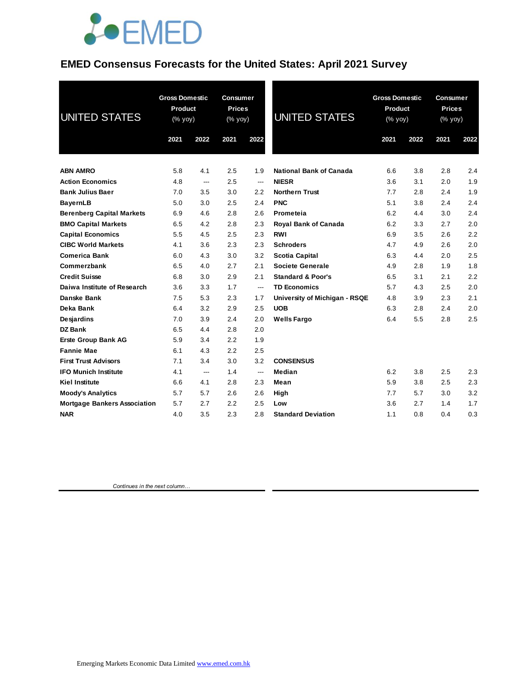

## **EMED Consensus Forecasts for the United States: April 2021 Survey**

| <b>UNITED STATES</b>                | <b>Gross Domestic</b><br>Product<br>(% yoy) |      | <b>Consumer</b><br><b>Prices</b><br>(% yoy) |                          | <b>UNITED STATES</b>           | <b>Gross Domestic</b><br><b>Product</b><br>(% yoy) |      | <b>Consumer</b><br><b>Prices</b><br>(% yoy) |      |
|-------------------------------------|---------------------------------------------|------|---------------------------------------------|--------------------------|--------------------------------|----------------------------------------------------|------|---------------------------------------------|------|
|                                     | 2021                                        | 2022 | 2021                                        | 2022                     |                                | 2021                                               | 2022 | 2021                                        | 2022 |
| <b>ABN AMRO</b>                     | 5.8                                         | 4.1  | 2.5                                         | 1.9                      | <b>National Bank of Canada</b> | 6.6                                                | 3.8  | 2.8                                         | 2.4  |
| <b>Action Economics</b>             | 4.8                                         | ---  | 2.5                                         | ---                      | <b>NIESR</b>                   | 3.6                                                | 3.1  | 2.0                                         | 1.9  |
| <b>Bank Julius Baer</b>             | 7.0                                         | 3.5  | 3.0                                         | 2.2                      | <b>Northern Trust</b>          | 7.7                                                | 2.8  | 2.4                                         | 1.9  |
| <b>BayernLB</b>                     | 5.0                                         | 3.0  | 2.5                                         | 2.4                      | <b>PNC</b>                     | 5.1                                                | 3.8  | 2.4                                         | 2.4  |
| <b>Berenberg Capital Markets</b>    | 6.9                                         | 4.6  | 2.8                                         | 2.6                      | Prometeia                      | 6.2                                                | 4.4  | 3.0                                         | 2.4  |
| <b>BMO Capital Markets</b>          | 6.5                                         | 4.2  | 2.8                                         | 2.3                      | <b>Royal Bank of Canada</b>    | 6.2                                                | 3.3  | 2.7                                         | 2.0  |
| <b>Capital Economics</b>            | 5.5                                         | 4.5  | 2.5                                         | 2.3                      | <b>RWI</b>                     | 6.9                                                | 3.5  | 2.6                                         | 2.2  |
| <b>CIBC World Markets</b>           | 4.1                                         | 3.6  | 2.3                                         | 2.3                      | <b>Schroders</b>               | 4.7                                                | 4.9  | 2.6                                         | 2.0  |
| <b>Comerica Bank</b>                | 6.0                                         | 4.3  | 3.0                                         | 3.2                      | <b>Scotia Capital</b>          | 6.3                                                | 4.4  | 2.0                                         | 2.5  |
| Commerzbank                         | 6.5                                         | 4.0  | 2.7                                         | 2.1                      | <b>Societe Generale</b>        | 4.9                                                | 2.8  | 1.9                                         | 1.8  |
| <b>Credit Suisse</b>                | 6.8                                         | 3.0  | 2.9                                         | 2.1                      | <b>Standard &amp; Poor's</b>   | 6.5                                                | 3.1  | 2.1                                         | 2.2  |
| Daiwa Institute of Research         | 3.6                                         | 3.3  | 1.7                                         | $\overline{\phantom{a}}$ | <b>TD Economics</b>            | 5.7                                                | 4.3  | 2.5                                         | 2.0  |
| Danske Bank                         | 7.5                                         | 5.3  | 2.3                                         | 1.7                      | University of Michigan - RSQE  | 4.8                                                | 3.9  | 2.3                                         | 2.1  |
| Deka Bank                           | 6.4                                         | 3.2  | 2.9                                         | 2.5                      | <b>UOB</b>                     | 6.3                                                | 2.8  | 2.4                                         | 2.0  |
| Desjardins                          | 7.0                                         | 3.9  | 2.4                                         | 2.0                      | <b>Wells Fargo</b>             | 6.4                                                | 5.5  | 2.8                                         | 2.5  |
| DZ Bank                             | 6.5                                         | 4.4  | 2.8                                         | 2.0                      |                                |                                                    |      |                                             |      |
| <b>Erste Group Bank AG</b>          | 5.9                                         | 3.4  | 2.2                                         | 1.9                      |                                |                                                    |      |                                             |      |
| <b>Fannie Mae</b>                   | 6.1                                         | 4.3  | 2.2                                         | 2.5                      |                                |                                                    |      |                                             |      |
| <b>First Trust Advisors</b>         | 7.1                                         | 3.4  | 3.0                                         | 3.2                      | <b>CONSENSUS</b>               |                                                    |      |                                             |      |
| <b>IFO Munich Institute</b>         | 4.1                                         | ---  | 1.4                                         | ---                      | Median                         | 6.2                                                | 3.8  | 2.5                                         | 2.3  |
| <b>Kiel Institute</b>               | 6.6                                         | 4.1  | 2.8                                         | 2.3                      | Mean                           | 5.9                                                | 3.8  | 2.5                                         | 2.3  |
| <b>Moody's Analytics</b>            | 5.7                                         | 5.7  | 2.6                                         | 2.6                      | High                           | 7.7                                                | 5.7  | 3.0                                         | 3.2  |
| <b>Mortgage Bankers Association</b> | 5.7                                         | 2.7  | 2.2                                         | 2.5                      | Low                            | 3.6                                                | 2.7  | 1.4                                         | 1.7  |
| <b>NAR</b>                          | 4.0                                         | 3.5  | 2.3                                         | 2.8                      | <b>Standard Deviation</b>      | 1.1                                                | 0.8  | 0.4                                         | 0.3  |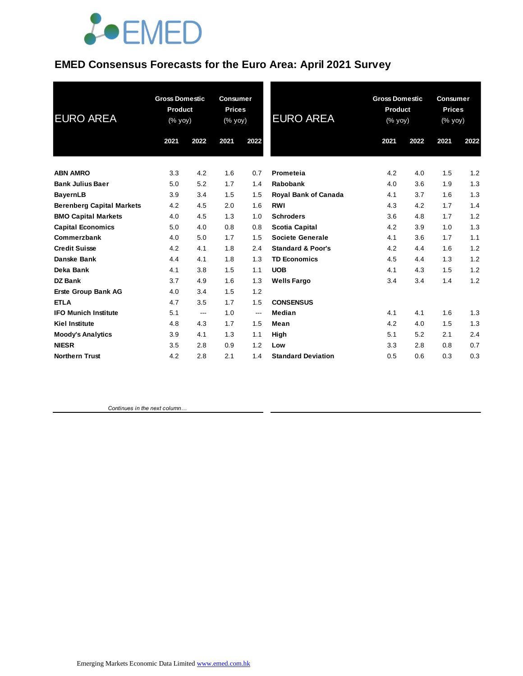

## **EMED Consensus Forecasts for the Euro Area: April 2021 Survey**

| <b>EURO AREA</b>                 | <b>Gross Domestic</b><br>Product<br>(% yoy) |      | <b>Consumer</b><br><b>Prices</b><br>(% yoy) |      | <b>EURO AREA</b>             | <b>Gross Domestic</b><br>Product<br>(% yoy) |      | <b>Consumer</b><br><b>Prices</b><br>(% yoy) |      |
|----------------------------------|---------------------------------------------|------|---------------------------------------------|------|------------------------------|---------------------------------------------|------|---------------------------------------------|------|
|                                  | 2021                                        | 2022 | 2021                                        | 2022 |                              | 2021                                        | 2022 | 2021                                        | 2022 |
| <b>ABN AMRO</b>                  | 3.3                                         | 4.2  | 1.6                                         | 0.7  | Prometeia                    | 4.2                                         | 4.0  | 1.5                                         | 1.2  |
| <b>Bank Julius Baer</b>          | 5.0                                         | 5.2  | 1.7                                         | 1.4  | <b>Rabobank</b>              | 4.0                                         | 3.6  | 1.9                                         | 1.3  |
| <b>BayernLB</b>                  | 3.9                                         | 3.4  | 1.5                                         | 1.5  | <b>Royal Bank of Canada</b>  | 4.1                                         | 3.7  | 1.6                                         | 1.3  |
| <b>Berenberg Capital Markets</b> | 4.2                                         | 4.5  | 2.0                                         | 1.6  | <b>RWI</b>                   | 4.3                                         | 4.2  | 1.7                                         | 1.4  |
| <b>BMO Capital Markets</b>       | 4.0                                         | 4.5  | 1.3                                         | 1.0  | <b>Schroders</b>             | 3.6                                         | 4.8  | 1.7                                         | 1.2  |
| <b>Capital Economics</b>         | 5.0                                         | 4.0  | 0.8                                         | 0.8  | <b>Scotia Capital</b>        | 4.2                                         | 3.9  | 1.0                                         | 1.3  |
| Commerzbank                      | 4.0                                         | 5.0  | 1.7                                         | 1.5  | Societe Generale             | 4.1                                         | 3.6  | 1.7                                         | 1.1  |
| <b>Credit Suisse</b>             | 4.2                                         | 4.1  | 1.8                                         | 2.4  | <b>Standard &amp; Poor's</b> | 4.2                                         | 4.4  | 1.6                                         | 1.2  |
| Danske Bank                      | 4.4                                         | 4.1  | 1.8                                         | 1.3  | <b>TD Economics</b>          | 4.5                                         | 4.4  | 1.3                                         | 1.2  |
| Deka Bank                        | 4.1                                         | 3.8  | 1.5                                         | 1.1  | <b>UOB</b>                   | 4.1                                         | 4.3  | 1.5                                         | 1.2  |
| <b>DZ Bank</b>                   | 3.7                                         | 4.9  | 1.6                                         | 1.3  | <b>Wells Fargo</b>           | 3.4                                         | 3.4  | 1.4                                         | 1.2  |
| <b>Erste Group Bank AG</b>       | 4.0                                         | 3.4  | 1.5                                         | 1.2  |                              |                                             |      |                                             |      |
| <b>ETLA</b>                      | 4.7                                         | 3.5  | 1.7                                         | 1.5  | <b>CONSENSUS</b>             |                                             |      |                                             |      |
| <b>IFO Munich Institute</b>      | 5.1                                         | ---  | 1.0                                         | ---  | Median                       | 4.1                                         | 4.1  | 1.6                                         | 1.3  |
| <b>Kiel Institute</b>            | 4.8                                         | 4.3  | 1.7                                         | 1.5  | Mean                         | 4.2                                         | 4.0  | 1.5                                         | 1.3  |
| <b>Moody's Analytics</b>         | 3.9                                         | 4.1  | 1.3                                         | 1.1  | High                         | 5.1                                         | 5.2  | 2.1                                         | 2.4  |
| <b>NIESR</b>                     | 3.5                                         | 2.8  | 0.9                                         | 1.2  | Low                          | 3.3                                         | 2.8  | 0.8                                         | 0.7  |
| <b>Northern Trust</b>            | 4.2                                         | 2.8  | 2.1                                         | 1.4  | <b>Standard Deviation</b>    | 0.5                                         | 0.6  | 0.3                                         | 0.3  |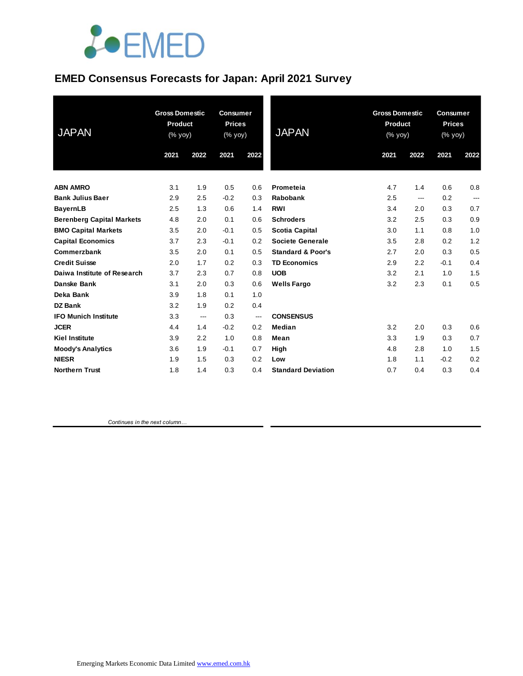

## **EMED Consensus Forecasts for Japan: April 2021 Survey**

| <b>JAPAN</b>                               | <b>Gross Domestic</b><br>Product<br>(% yoy) |            | <b>Consumer</b><br><b>Prices</b><br>(% yoy) |            | <b>JAPAN</b>                 | <b>Gross Domestic</b><br>Product<br>(% yoy) |            | <b>Consumer</b><br><b>Prices</b><br>(% yoy) |              |
|--------------------------------------------|---------------------------------------------|------------|---------------------------------------------|------------|------------------------------|---------------------------------------------|------------|---------------------------------------------|--------------|
|                                            | 2021                                        | 2022       | 2021                                        | 2022       |                              | 2021                                        | 2022       | 2021                                        | 2022         |
|                                            |                                             |            |                                             |            |                              |                                             |            |                                             |              |
| <b>ABN AMRO</b><br><b>Bank Julius Baer</b> | 3.1<br>2.9                                  | 1.9<br>2.5 | 0.5<br>$-0.2$                               | 0.6<br>0.3 | Prometeia<br><b>Rabobank</b> | 4.7<br>2.5                                  | 1.4        | 0.6<br>0.2                                  | 0.8          |
| <b>BayernLB</b>                            | 2.5                                         | 1.3        | 0.6                                         | 1.4        | <b>RWI</b>                   | 3.4                                         | ---<br>2.0 | 0.3                                         | $---$<br>0.7 |
| <b>Berenberg Capital Markets</b>           | 4.8                                         | 2.0        | 0.1                                         | 0.6        | <b>Schroders</b>             | 3.2                                         | 2.5        | 0.3                                         | 0.9          |
| <b>BMO Capital Markets</b>                 | 3.5                                         | 2.0        | $-0.1$                                      | 0.5        | Scotia Capital               | 3.0                                         | 1.1        | 0.8                                         | 1.0          |
| <b>Capital Economics</b>                   | 3.7                                         | 2.3        | $-0.1$                                      | 0.2        | Societe Generale             | 3.5                                         | 2.8        | 0.2                                         | 1.2          |
| Commerzbank                                | 3.5                                         | 2.0        | 0.1                                         | 0.5        | <b>Standard &amp; Poor's</b> | 2.7                                         | 2.0        | 0.3                                         | 0.5          |
| <b>Credit Suisse</b>                       | 2.0                                         | 1.7        | 0.2                                         | 0.3        | <b>TD Economics</b>          | 2.9                                         | 2.2        | $-0.1$                                      | 0.4          |
| Daiwa Institute of Research                | 3.7                                         | 2.3        | 0.7                                         | 0.8        | <b>UOB</b>                   | 3.2                                         | 2.1        | 1.0                                         | 1.5          |
| Danske Bank                                | 3.1                                         | 2.0        | 0.3                                         | 0.6        | <b>Wells Fargo</b>           | 3.2                                         | 2.3        | 0.1                                         | 0.5          |
| Deka Bank                                  | 3.9                                         | 1.8        | 0.1                                         | 1.0        |                              |                                             |            |                                             |              |
| <b>DZ Bank</b>                             | 3.2                                         | 1.9        | 0.2                                         | 0.4        |                              |                                             |            |                                             |              |
| <b>IFO Munich Institute</b>                | 3.3                                         | ---        | 0.3                                         | ---        | <b>CONSENSUS</b>             |                                             |            |                                             |              |
| <b>JCER</b>                                | 4.4                                         | 1.4        | $-0.2$                                      | 0.2        | Median                       | 3.2                                         | 2.0        | 0.3                                         | 0.6          |
| <b>Kiel Institute</b>                      | 3.9                                         | 2.2        | 1.0                                         | 0.8        | Mean                         | 3.3                                         | 1.9        | 0.3                                         | 0.7          |
| <b>Moody's Analytics</b>                   | 3.6                                         | 1.9        | $-0.1$                                      | 0.7        | High                         | 4.8                                         | 2.8        | 1.0                                         | 1.5          |
| <b>NIESR</b>                               | 1.9                                         | 1.5        | 0.3                                         | 0.2        | Low                          | 1.8                                         | 1.1        | $-0.2$                                      | 0.2          |
| <b>Northern Trust</b>                      | 1.8                                         | 1.4        | 0.3                                         | 0.4        | <b>Standard Deviation</b>    | 0.7                                         | 0.4        | 0.3                                         | 0.4          |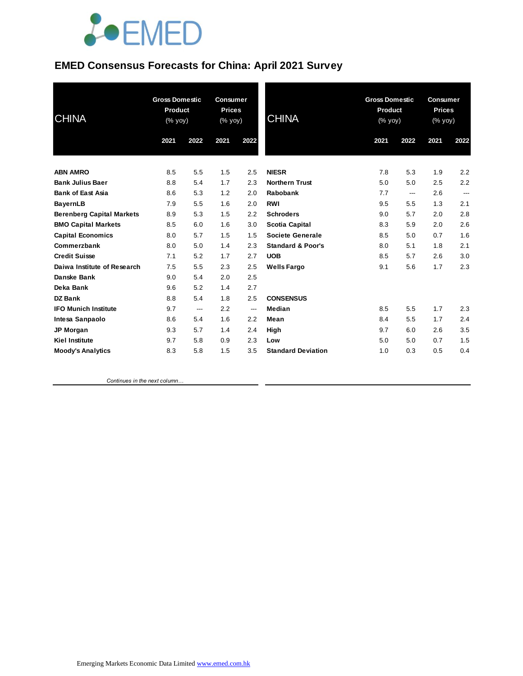# **JOEMED**

#### **EMED Consensus Forecasts for China: April 2021 Survey**

| <b>CHINA</b>                     | <b>Gross Domestic</b><br><b>Product</b><br>(% yoy) |      | <b>Consumer</b><br><b>Prices</b><br>(% yoy) |      | <b>CHINA</b>                 | <b>Gross Domestic</b><br><b>Product</b><br>(% yoy) |      | <b>Consumer</b><br><b>Prices</b><br>(% yoy) |      |
|----------------------------------|----------------------------------------------------|------|---------------------------------------------|------|------------------------------|----------------------------------------------------|------|---------------------------------------------|------|
|                                  | 2021                                               | 2022 | 2021                                        | 2022 |                              | 2021                                               | 2022 | 2021                                        | 2022 |
| <b>ABN AMRO</b>                  | 8.5                                                | 5.5  | 1.5                                         | 2.5  | <b>NIESR</b>                 | 7.8                                                | 5.3  | 1.9                                         | 2.2  |
| <b>Bank Julius Baer</b>          | 8.8                                                | 5.4  | 1.7                                         | 2.3  | <b>Northern Trust</b>        | 5.0                                                | 5.0  | 2.5                                         | 2.2  |
| <b>Bank of East Asia</b>         | 8.6                                                | 5.3  | 1.2                                         | 2.0  | <b>Rabobank</b>              | 7.7                                                | ---  | 2.6                                         | ---  |
| <b>BayernLB</b>                  | 7.9                                                | 5.5  | 1.6                                         | 2.0  | <b>RWI</b>                   | 9.5                                                | 5.5  | 1.3                                         | 2.1  |
| <b>Berenberg Capital Markets</b> | 8.9                                                | 5.3  | 1.5                                         | 2.2  | <b>Schroders</b>             | 9.0                                                | 5.7  | 2.0                                         | 2.8  |
| <b>BMO Capital Markets</b>       | 8.5                                                | 6.0  | 1.6                                         | 3.0  | <b>Scotia Capital</b>        | 8.3                                                | 5.9  | 2.0                                         | 2.6  |
| <b>Capital Economics</b>         | 8.0                                                | 5.7  | 1.5                                         | 1.5  | <b>Societe Generale</b>      | 8.5                                                | 5.0  | 0.7                                         | 1.6  |
| Commerzbank                      | 8.0                                                | 5.0  | 1.4                                         | 2.3  | <b>Standard &amp; Poor's</b> | 8.0                                                | 5.1  | 1.8                                         | 2.1  |
| <b>Credit Suisse</b>             | 7.1                                                | 5.2  | 1.7                                         | 2.7  | <b>UOB</b>                   | 8.5                                                | 5.7  | 2.6                                         | 3.0  |
| Daiwa Institute of Research      | 7.5                                                | 5.5  | 2.3                                         | 2.5  | <b>Wells Fargo</b>           | 9.1                                                | 5.6  | 1.7                                         | 2.3  |
| Danske Bank                      | 9.0                                                | 5.4  | 2.0                                         | 2.5  |                              |                                                    |      |                                             |      |
| Deka Bank                        | 9.6                                                | 5.2  | 1.4                                         | 2.7  |                              |                                                    |      |                                             |      |
| DZ Bank                          | 8.8                                                | 5.4  | 1.8                                         | 2.5  | <b>CONSENSUS</b>             |                                                    |      |                                             |      |
| <b>IFO Munich Institute</b>      | 9.7                                                | ---  | 2.2                                         | ---  | Median                       | 8.5                                                | 5.5  | 1.7                                         | 2.3  |
| Intesa Sanpaolo                  | 8.6                                                | 5.4  | 1.6                                         | 2.2  | Mean                         | 8.4                                                | 5.5  | 1.7                                         | 2.4  |
| JP Morgan                        | 9.3                                                | 5.7  | 1.4                                         | 2.4  | High                         | 9.7                                                | 6.0  | 2.6                                         | 3.5  |
| <b>Kiel Institute</b>            | 9.7                                                | 5.8  | 0.9                                         | 2.3  | Low                          | 5.0                                                | 5.0  | 0.7                                         | 1.5  |
| <b>Moody's Analytics</b>         | 8.3                                                | 5.8  | 1.5                                         | 3.5  | <b>Standard Deviation</b>    | 1.0                                                | 0.3  | 0.5                                         | 0.4  |